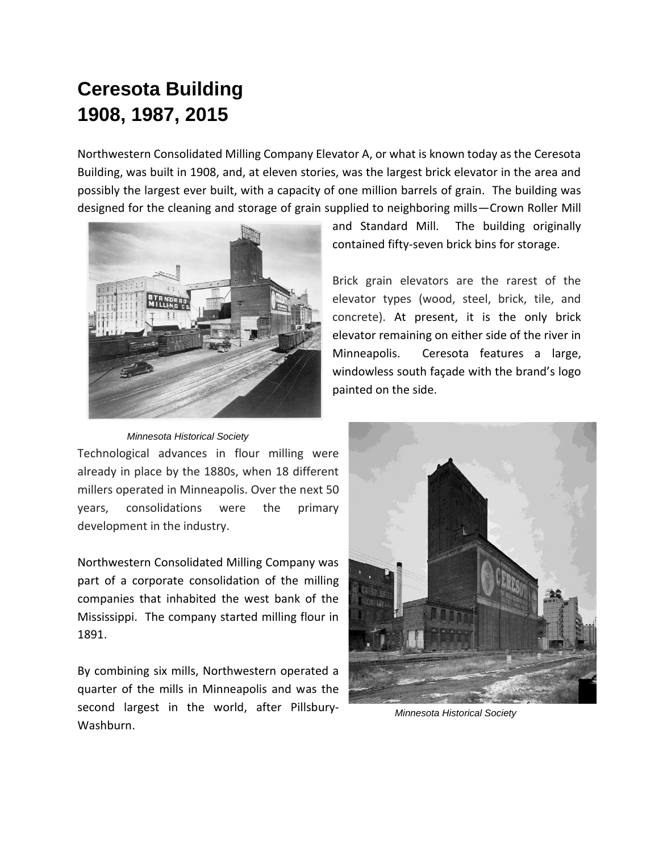## **Ceresota Building 1908, 1987, 2015**

Northwestern Consolidated Milling Company Elevator A, or what is known today as the Ceresota Building, was built in 1908, and, at eleven stories, was the largest brick elevator in the area and possibly the largest ever built, with a capacity of one million barrels of grain. The building was designed for the cleaning and storage of grain supplied to neighboring mills—Crown Roller Mill



 *Minnesota Historical Society*

Technological advances in flour milling were already in place by the 1880s, when 18 different millers operated in Minneapolis. Over the next 50 years, consolidations were the primary development in the industry.

Northwestern Consolidated Milling Company was part of a corporate consolidation of the milling companies that inhabited the west bank of the Mississippi. The company started milling flour in 1891.

By combining six mills, Northwestern operated a quarter of the mills in Minneapolis and was the second largest in the world, after Pillsbury-Washburn.

and Standard Mill. The building originally contained fifty-seven brick bins for storage.

Brick grain elevators are the rarest of the elevator types (wood, steel, brick, tile, and concrete). At present, it is the only brick elevator remaining on either side of the river in Minneapolis. Ceresota features a large, windowless south façade with the brand's logo painted on the side.



 *Minnesota Historical Society*